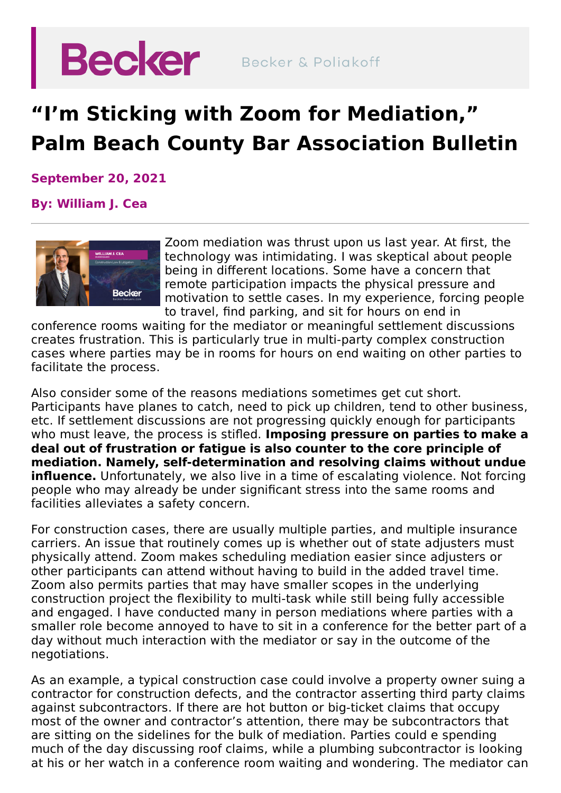

## **"I'm Sticking with Zoom for Mediation, " Palm Beach County Bar Association Bulletin**

**September 20, 2021**

## **By: [William](https://beckerlawyers.com/professionals/william-cea/) J. Cea**



Zoom mediation was thrust upon us last year. At first, the technology was intimidating. I was skeptical about people being in different locations. Some have a concern that remote participation impacts the physical pressure and motivation to settle cases. In my experience, forcing people to travel, find parking, and sit for hours on end in

conference rooms waiting for the mediator or meaningful settlement discussions creates frustration. This is particularly true in multi-party complex construction cases where parties may be in rooms for hours on end waiting on other parties to facilitate the process.

Also consider some of the reasons mediations sometimes get cut short. Participants have planes to catch, need to pick up children, tend to other business, etc. If settlement discussions are not progressing quickly enough for participants who must leave, the process is stifled. **Imposing pressure on parties to make a deal out of frustration or fatigue is also counter to the core principle of mediation. Namely, self-determination and resolving claims without undue influence.** Unfortunately, we also live in a time of escalating violence. Not forcing people who may already be under significant stress into the same rooms and facilities alleviates a safety concern.

For construction cases, there are usually multiple parties, and multiple insurance carriers. An issue that routinely comes up is whether out of state adjusters must physically attend. Zoom makes scheduling mediation easier since adjusters or other participants can attend without having to build in the added travel time. Zoom also permits parties that may have smaller scopes in the underlying construction project the flexibility to multi-task while still being fully accessible and engaged. I have conducted many in person mediations where parties with a smaller role become annoyed to have to sit in a conference for the better part of a day without much interaction with the mediator or say in the outcome of the negotiations.

As an example, a typical construction case could involve a property owner suing a contractor for construction defects, and the contractor asserting third party claims against subcontractors. If there are hot button or big-ticket claims that occupy most of the owner and contractor's attention, there may be subcontractors that are sitting on the sidelines for the bulk of mediation. Parties could e spending much of the day discussing roof claims, while a plumbing subcontractor is looking at his or her watch in a conference room waiting and wondering. The mediator can